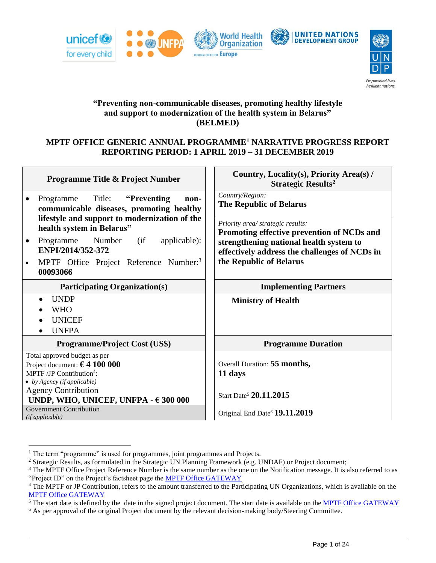



# **"Preventing non-communicable diseases, promoting healthy lifestyle and support to modernization of the health system in Belarus" (BELMED)**

# **MPTF OFFICE GENERIC ANNUAL PROGRAMME<sup>1</sup> NARRATIVE PROGRESS REPORT REPORTING PERIOD: 1 APRIL 2019 – 31 DECEMBER 2019**

| Programme Title & Project Number                                                                                                                                                                                                                                              | Country, Locality(s), Priority Area(s) /<br><b>Strategic Results<sup>2</sup></b>                                           |  |
|-------------------------------------------------------------------------------------------------------------------------------------------------------------------------------------------------------------------------------------------------------------------------------|----------------------------------------------------------------------------------------------------------------------------|--|
| Programme Title: "Preventing"<br>non-<br>$\bullet$<br>communicable diseases, promoting healthy<br>lifestyle and support to modernization of the                                                                                                                               | Country/Region:<br><b>The Republic of Belarus</b>                                                                          |  |
| health system in Belarus"                                                                                                                                                                                                                                                     | Priority area/ strategic results:<br>Promoting effective prevention of NCDs and                                            |  |
| Programme Number (if<br>applicable):<br>$\bullet$<br>ENPI/2014/352-372                                                                                                                                                                                                        | strengthening national health system to<br>effectively address the challenges of NCDs in                                   |  |
| MPTF Office Project Reference Number: <sup>3</sup><br>00093066                                                                                                                                                                                                                | the Republic of Belarus                                                                                                    |  |
| <b>Participating Organization(s)</b>                                                                                                                                                                                                                                          | <b>Implementing Partners</b>                                                                                               |  |
| <b>UNDP</b><br>$\bullet$<br><b>WHO</b><br><b>UNICEF</b><br><b>UNFPA</b><br>$\bullet$                                                                                                                                                                                          | <b>Ministry of Health</b>                                                                                                  |  |
| Programme/Project Cost (US\$)                                                                                                                                                                                                                                                 | <b>Programme Duration</b>                                                                                                  |  |
| Total approved budget as per<br>Project document: $64100000$<br>MPTF/JP Contribution <sup>4</sup> :<br>$\bullet$ by Agency (if applicable)<br><b>Agency Contribution</b><br>UNDP, WHO, UNICEF, UNFPA - $\epsilon$ 300 000<br><b>Government Contribution</b><br>(ifappliedble) | Overall Duration: 55 months,<br>11 days<br>Start Date <sup>5</sup> 20.11.2015<br>Original End Date <sup>6</sup> 19.11.2019 |  |

<sup>&</sup>lt;sup>1</sup> The term "programme" is used for programmes, joint programmes and Projects.

<sup>&</sup>lt;sup>2</sup> Strategic Results, as formulated in the Strategic UN Planning Framework (e.g. UNDAF) or Project document;

<sup>&</sup>lt;sup>3</sup> The MPTF Office Project Reference Number is the same number as the one on the Notification message. It is also referred to as "Project ID" on the Project's factsheet page the [MPTF Office GATEWAY](http://mdtf.undp.org/)

<sup>4</sup> The MPTF or JP Contribution, refers to the amount transferred to the Participating UN Organizations, which is available on the [MPTF Office GATEWAY](http://mdtf.undp.org/)

 $\overline{5}$  The start date is defined by the date in the signed project document. The start date is available on th[e MPTF Office GATEWAY](http://mdtf.undp.org/)

<sup>&</sup>lt;sup>6</sup> As per approval of the original Project document by the relevant decision-making body/Steering Committee.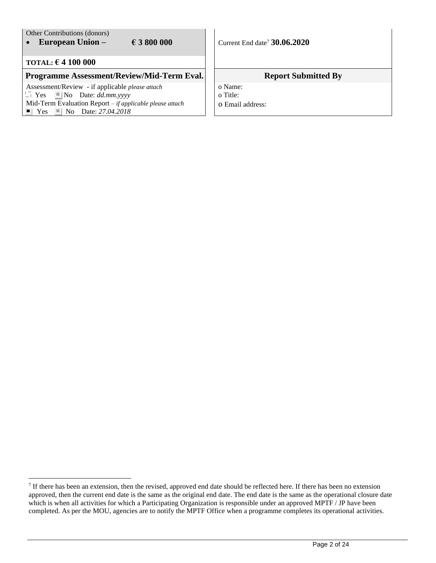#### Other Contributions (donors) • **European Union –**  $\in$  **6 3** 800 000  $\mid$  Current End date<sup>7</sup> 30.06.2020 **TOTAL: € 4 100 000 Programme Assessment/Review/Mid-Term Eval.** Report Submitted By Assessment/Review - if applicable *please attach*  $\Box$  Yes  $\Box$  No Date: *dd.mm.yyyy* Mid-Term Evaluation Report *– if applicable please attach*  $\blacksquare$  Yes  $\blacksquare$  No Date: 27.04.2018 o Name: o Title: o Email address:

 $<sup>7</sup>$  If there has been an extension, then the revised, approved end date should be reflected here. If there has been no extension</sup> approved, then the current end date is the same as the original end date. The end date is the same as the operational closure date which is when all activities for which a Participating Organization is responsible under an approved MPTF / JP have been completed. As per the MOU, agencies are to notify the MPTF Office when a programme completes its operational activities.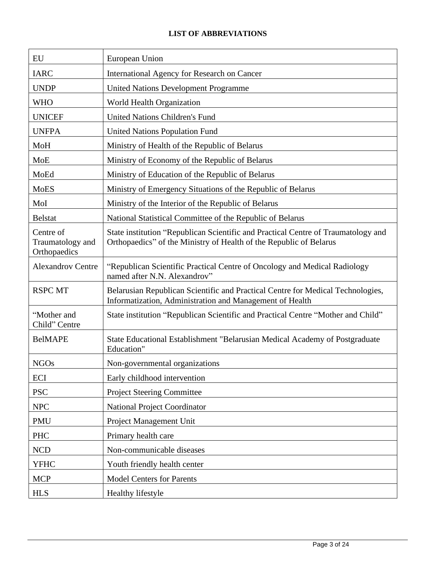# **LIST OF ABBREVIATIONS**

| EU                                            | European Union                                                                                                                                          |
|-----------------------------------------------|---------------------------------------------------------------------------------------------------------------------------------------------------------|
| <b>IARC</b>                                   | International Agency for Research on Cancer                                                                                                             |
| <b>UNDP</b>                                   | <b>United Nations Development Programme</b>                                                                                                             |
| <b>WHO</b>                                    | World Health Organization                                                                                                                               |
| <b>UNICEF</b>                                 | United Nations Children's Fund                                                                                                                          |
| <b>UNFPA</b>                                  | United Nations Population Fund                                                                                                                          |
| MoH                                           | Ministry of Health of the Republic of Belarus                                                                                                           |
| <b>MoE</b>                                    | Ministry of Economy of the Republic of Belarus                                                                                                          |
| MoEd                                          | Ministry of Education of the Republic of Belarus                                                                                                        |
| <b>MoES</b>                                   | Ministry of Emergency Situations of the Republic of Belarus                                                                                             |
| MoI                                           | Ministry of the Interior of the Republic of Belarus                                                                                                     |
| <b>Belstat</b>                                | National Statistical Committee of the Republic of Belarus                                                                                               |
| Centre of<br>Traumatology and<br>Orthopaedics | State institution "Republican Scientific and Practical Centre of Traumatology and<br>Orthopaedics" of the Ministry of Health of the Republic of Belarus |
| <b>Alexandrov Centre</b>                      | "Republican Scientific Practical Centre of Oncology and Medical Radiology<br>named after N.N. Alexandrov"                                               |
| <b>RSPC MT</b>                                | Belarusian Republican Scientific and Practical Centre for Medical Technologies,<br>Informatization, Administration and Management of Health             |
| "Mother and<br>Child" Centre                  | State institution "Republican Scientific and Practical Centre "Mother and Child"                                                                        |
| <b>BelMAPE</b>                                | State Educational Establishment "Belarusian Medical Academy of Postgraduate"<br>Education"                                                              |
| <b>NGOs</b>                                   | Non-governmental organizations                                                                                                                          |
| ECI                                           | Early childhood intervention                                                                                                                            |
| <b>PSC</b>                                    | <b>Project Steering Committee</b>                                                                                                                       |
| <b>NPC</b>                                    | <b>National Project Coordinator</b>                                                                                                                     |
| <b>PMU</b>                                    | Project Management Unit                                                                                                                                 |
| PHC                                           | Primary health care                                                                                                                                     |
| <b>NCD</b>                                    | Non-communicable diseases                                                                                                                               |
| <b>YFHC</b>                                   | Youth friendly health center                                                                                                                            |
| <b>MCP</b>                                    | <b>Model Centers for Parents</b>                                                                                                                        |
| <b>HLS</b>                                    | Healthy lifestyle                                                                                                                                       |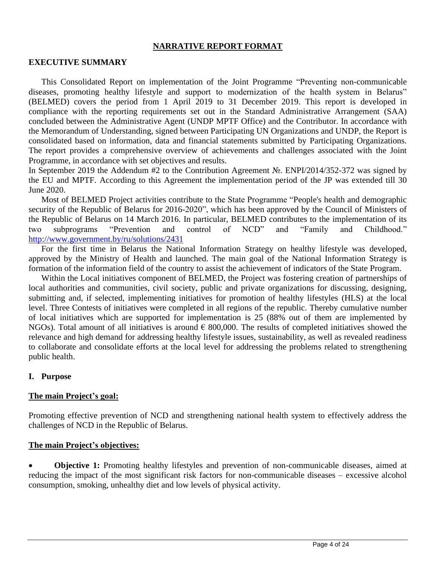#### **NARRATIVE REPORT FORMAT**

#### **EXECUTIVE SUMMARY**

This Consolidated Report on implementation of the Joint Programme "Preventing non-communicable diseases, promoting healthy lifestyle and support to modernization of the health system in Belarus" (BELMED) covers the period from 1 April 2019 to 31 December 2019. This report is developed in compliance with the reporting requirements set out in the Standard Administrative Arrangement (SAA) concluded between the Administrative Agent (UNDP MPTF Office) and the Contributor. In accordance with the Memorandum of Understanding, signed between Participating UN Organizations and UNDP, the Report is consolidated based on information, data and financial statements submitted by Participating Organizations. The report provides a comprehensive overview of achievements and challenges associated with the Joint Programme, in accordance with set objectives and results.

In September 2019 the Addendum #2 to the Contribution Agreement №. ENPI/2014/352-372 was signed by the EU and MPTF. According to this Agreement the implementation period of the JP was extended till 30 June 2020.

Most of BELMED Project activities contribute to the State Programme "People's health and demographic security of the Republic of Belarus for 2016-2020", which has been approved by the Council of Ministers of the Republic of Belarus on 14 March 2016. In particular, BELMED contributes to the implementation of its two subprograms "Prevention and control of NCD" and "Family and Childhood." <http://www.government.by/ru/solutions/2431>

For the first time in Belarus the National Information Strategy on healthy lifestyle was developed, approved by the Ministry of Health and launched. The main goal of the National Information Strategy is formation of the information field of the country to assist the achievement of indicators of the State Program.

Within the Local initiatives component of BELMED, the Project was fostering creation of partnerships of local authorities and communities, civil society, public and private organizations for discussing, designing, submitting and, if selected, implementing initiatives for promotion of healthy lifestyles (HLS) at the local level. Three Contests of initiatives were completed in all regions of the republic. Thereby cumulative number of local initiatives which are supported for implementation is 25 (88% out of them are implemented by NGOs). Total amount of all initiatives is around  $\epsilon$  800,000. The results of completed initiatives showed the relevance and high demand for addressing healthy lifestyle issues, sustainability, as well as revealed readiness to collaborate and consolidate efforts at the local level for addressing the problems related to strengthening public health.

#### **I. Purpose**

#### **The main Project's goal:**

Promoting effective prevention of NCD and strengthening national health system to effectively address the challenges of NCD in the Republic of Belarus.

#### **The main Project's objectives:**

• **Objective 1:** Promoting healthy lifestyles and prevention of non-communicable diseases, aimed at reducing the impact of the most significant risk factors for non-communicable diseases – excessive alcohol consumption, smoking, unhealthy diet and low levels of physical activity.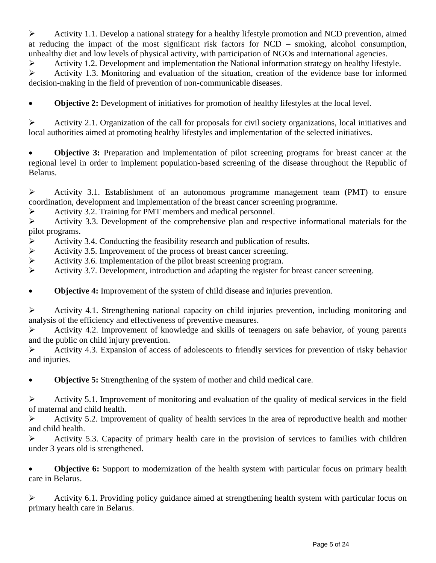$\triangleright$  Activity 1.1. Develop a national strategy for a healthy lifestyle promotion and NCD prevention, aimed at reducing the impact of the most significant risk factors for NCD – smoking, alcohol consumption, unhealthy diet and low levels of physical activity, with participation of NGOs and international agencies.

➢ Activity 1.2. Development and implementation the National information strategy on healthy lifestyle.

➢ Activity 1.3. Monitoring and evaluation of the situation, creation of the evidence base for informed decision-making in the field of prevention of non-communicable diseases.

• **Objective 2:** Development of initiatives for promotion of healthy lifestyles at the local level.

➢ Activity 2.1. Organization of the call for proposals for civil society organizations, local initiatives and local authorities aimed at promoting healthy lifestyles and implementation of the selected initiatives.

**Objective 3:** Preparation and implementation of pilot screening programs for breast cancer at the regional level in order to implement population-based screening of the disease throughout the Republic of Belarus.

➢ Activity 3.1. Establishment of an autonomous programme management team (PMT) to ensure coordination, development and implementation of the breast cancer screening programme.

➢ Activity 3.2. Training for PMT members and medical personnel.

➢ Activity 3.3. Development of the comprehensive plan and respective informational materials for the pilot programs.

- $\triangleright$  Activity 3.4. Conducting the feasibility research and publication of results.
- ➢ Activity 3.5. Improvement of the process of breast cancer screening.
- ➢ Activity 3.6. Implementation of the pilot breast screening program.
- ➢ Activity 3.7. Development, introduction and adapting the register for breast cancer screening.

• **Objective 4:** Improvement of the system of child disease and injuries prevention.

➢ Activity 4.1. Strengthening national capacity on child injuries prevention, including monitoring and analysis of the efficiency and effectiveness of preventive measures.

➢ Activity 4.2. Improvement of knowledge and skills of teenagers on safe behavior, of young parents and the public on child injury prevention.

➢ Activity 4.3. Expansion of access of adolescents to friendly services for prevention of risky behavior and injuries.

• **Objective 5:** Strengthening of the system of mother and child medical care.

 $\triangleright$  Activity 5.1. Improvement of monitoring and evaluation of the quality of medical services in the field of maternal and child health.

➢ Activity 5.2. Improvement of quality of health services in the area of reproductive health and mother and child health.

➢ Activity 5.3. Capacity of primary health care in the provision of services to families with children under 3 years old is strengthened.

**Objective 6:** Support to modernization of the health system with particular focus on primary health care in Belarus.

➢ Activity 6.1. Providing policy guidance aimed at strengthening health system with particular focus on primary health care in Belarus.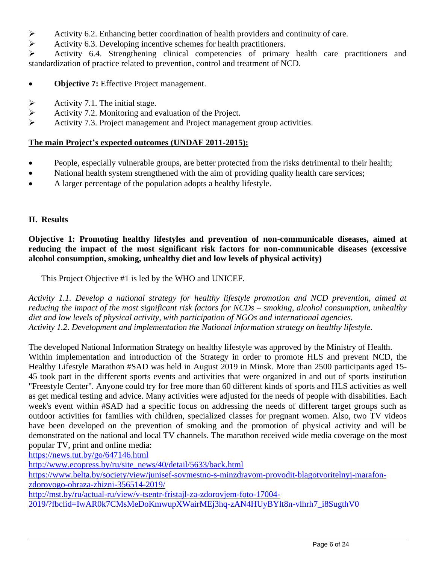- Activity 6.2. Enhancing better coordination of health providers and continuity of care.<br>Activity 6.3. Developing incentive schemes for health practitioners.
- ➢ Activity 6.3. Developing incentive schemes for health practitioners.

➢ Activity 6.4. Strengthening clinical competencies of primary health care practitioners and standardization of practice related to prevention, control and treatment of NCD.

- **Objective 7:** Effective Project management.
- $\triangleright$  Activity 7.1. The initial stage.
- ➢ Activity 7.2. Monitoring and evaluation of the Project.
- ➢ Activity 7.3. Project management and Project management group activities.

# **The main Project's expected outcomes (UNDAF 2011-2015):**

- People, especially vulnerable groups, are better protected from the risks detrimental to their health;
- National health system strengthened with the aim of providing quality health care services;
- A larger percentage of the population adopts a healthy lifestyle.

# **II. Results**

**Objective 1: Promoting healthy lifestyles and prevention of non-communicable diseases, aimed at reducing the impact of the most significant risk factors for non-communicable diseases (excessive alcohol consumption, smoking, unhealthy diet and low levels of physical activity)**

This Project Objective #1 is led by the WHO and UNICEF.

*Activity 1.1. Develop a national strategy for healthy lifestyle promotion and NCD prevention, aimed at reducing the impact of the most significant risk factors for NCDs – smoking, alcohol consumption, unhealthy diet and low levels of physical activity, with participation of NGOs and international agencies. Activity 1.2. Development and implementation the National information strategy on healthy lifestyle.*

The developed National Information Strategy on healthy lifestyle was approved by the Ministry of Health. Within implementation and introduction of the Strategy in order to promote HLS and prevent NCD, the Healthy Lifestyle Marathon #SAD was held in August 2019 in Minsk. More than 2500 participants aged 15- 45 took part in the different sports events and activities that were organized in and out of sports institution "Freestyle Center". Anyone could try for free more than 60 different kinds of sports and HLS activities as well as get medical testing and advice. Many activities were adjusted for the needs of people with disabilities. Each week's event within #SAD had a specific focus on addressing the needs of different target groups such as outdoor activities for families with children, specialized classes for pregnant women. Also, two TV videos have been developed on the prevention of smoking and the promotion of physical activity and will be demonstrated on the national and local TV channels. The marathon received wide media coverage on the most popular TV, print and online media:

<https://news.tut.by/go/647146.html>

[http://www.ecopress.by/ru/site\\_news/40/detail/5633/back.html](http://www.ecopress.by/ru/site_news/40/detail/5633/back.html)

[https://www.belta.by/society/view/junisef-sovmestno-s-minzdravom-provodit-blagotvoritelnyj-marafon](https://www.belta.by/society/view/junisef-sovmestno-s-minzdravom-provodit-blagotvoritelnyj-marafon-zdorovogo-obraza-zhizni-356514-2019/)[zdorovogo-obraza-zhizni-356514-2019/](https://www.belta.by/society/view/junisef-sovmestno-s-minzdravom-provodit-blagotvoritelnyj-marafon-zdorovogo-obraza-zhizni-356514-2019/)

[http://mst.by/ru/actual-ru/view/v-tsentr-fristajl-za-zdorovjem-foto-17004-](http://mst.by/ru/actual-ru/view/v-tsentr-fristajl-za-zdorovjem-foto-17004-2019/?fbclid=IwAR0k7CMsMeDoKmwupXWairMEj3hq-zAN4HUyBYlt8n-vlhrh7_i8SugthV0)

[2019/?fbclid=IwAR0k7CMsMeDoKmwupXWairMEj3hq-zAN4HUyBYlt8n-vlhrh7\\_i8SugthV0](http://mst.by/ru/actual-ru/view/v-tsentr-fristajl-za-zdorovjem-foto-17004-2019/?fbclid=IwAR0k7CMsMeDoKmwupXWairMEj3hq-zAN4HUyBYlt8n-vlhrh7_i8SugthV0)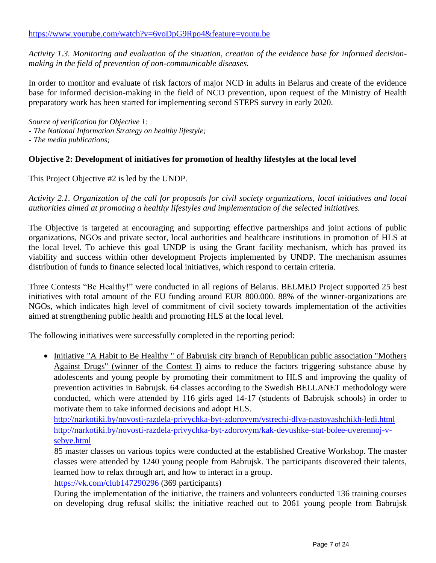*Activity 1.3. Monitoring and evaluation of the situation, creation of the evidence base for informed decisionmaking in the field of prevention of non-communicable diseases.*

In order to monitor and evaluate of risk factors of major NCD in adults in Belarus and create of the evidence base for informed decision-making in the field of NCD prevention, upon request of the Ministry of Health preparatory work has been started for implementing second STEPS survey in early 2020.

*Source of verification for Objective 1:*

- *The National Information Strategy on healthy lifestyle;*

- *The media publications;*

# **Objective 2: Development of initiatives for promotion of healthy lifestyles at the local level**

This Project Objective #2 is led by the UNDP.

*Activity 2.1. Organization of the call for proposals for civil society organizations, local initiatives and local authorities aimed at promoting a healthy lifestyles and implementation of the selected initiatives.*

The Objective is targeted at encouraging and supporting effective partnerships and joint actions of public organizations, NGOs and private sector, local authorities and healthcare institutions in promotion of HLS at the local level. To achieve this goal UNDP is using the Grant facility mechanism, which has proved its viability and success within other development Projects implemented by UNDP. The mechanism assumes distribution of funds to finance selected local initiatives, which respond to certain criteria.

Three Contests "Be Healthy!" were conducted in all regions of Belarus. BELMED Project supported 25 best initiatives with total amount of the EU funding around EUR 800.000. 88% of the winner-organizations are NGOs, which indicates high level of commitment of civil society towards implementation of the activities aimed at strengthening public health and promoting HLS at the local level.

The following initiatives were successfully completed in the reporting period:

• Initiative "A Habit to Be Healthy " of Babrujsk city branch of Republican public association "Mothers" Against Drugs" (winner of the Contest I) aims to reduce the factors triggering substance abuse by adolescents and young people by promoting their commitment to HLS and improving the quality of prevention activities in Babrujsk. 64 classes according to the Swedish BELLANET methodology were conducted, which were attended by 116 girls aged 14-17 (students of Babrujsk schools) in order to motivate them to take informed decisions and adopt HLS.

<http://narkotiki.by/novosti-razdela-privychka-byt-zdorovym/vstrechi-dlya-nastoyashchikh-ledi.html> [http://narkotiki.by/novosti-razdela-privychka-byt-zdorovym/kak-devushke-stat-bolee-uverennoj-v](http://narkotiki.by/novosti-razdela-privychka-byt-zdorovym/kak-devushke-stat-bolee-uverennoj-v-sebye.html)[sebye.html](http://narkotiki.by/novosti-razdela-privychka-byt-zdorovym/kak-devushke-stat-bolee-uverennoj-v-sebye.html)

85 master classes on various topics were conducted at the established Creative Workshop. The master classes were attended by 1240 young people from Babrujsk. The participants discovered their talents, learned how to relax through art, and how to interact in a group.

<https://vk.com/club147290296> (369 participants)

During the implementation of the initiative, the trainers and volunteers conducted 136 training courses on developing drug refusal skills; the initiative reached out to 2061 young people from Babrujsk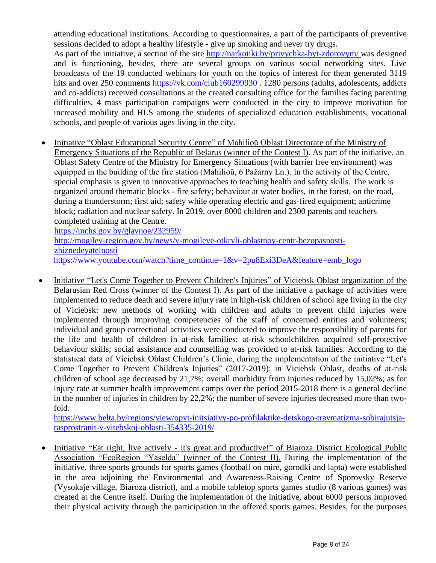attending educational institutions. According to questionnaires, a part of the participants of preventive sessions decided to adopt a healthy lifestyle - give up smoking and never try drugs.

As part of the initiative, a section of the site<http://narkotiki.by/privychka-byt-zdorovym/> was designed and is functioning, besides, there are several groups on various social networking sites. Live broadcasts of the 19 conducted webinars for youth on the topics of interest for them generated 3119 hits and over 250 comments<https://vk.com/club160299930>. 1280 persons (adults, adolescents, addicts and co-addicts) received consultations at the created consulting office for the families facing parenting difficulties. 4 mass participation campaigns were conducted in the city to improve motivation for increased mobility and HLS among the students of specialized education establishments, vocational schools, and people of various ages living in the city.

• Initiative "Oblast Educational Security Centre" of Mahilioŭ Oblast Directorate of the Ministry of Emergency Situations of the Republic of Belarus (winner of the Contest I). As part of the initiative, an Oblast Safety Centre of the Ministry for Emergency Situations (with barrier free environment) was equipped in the building of the fire station (Mahilioŭ, 6 Pažarny Ln.). In the activity of the Centre, special emphasis is given to innovative approaches to teaching health and safety skills. The work is organized around thematic blocks - fire safety; behaviour at water bodies, in the forest, on the road, during a thunderstorm; first aid; safety while operating electric and gas-fired equipment; anticrime block; radiation and nuclear safety. In 2019, over 8000 children and 2300 parents and teachers completed training at the Centre. <https://mchs.gov.by/glavnoe/232959/>

[http://mogilev-region.gov.by/news/v-mogileve-otkryli-oblastnoy-centr-bezopasnosti](http://mogilev-region.gov.by/news/v-mogileve-otkryli-oblastnoy-centr-bezopasnosti-zhiznedeyatelnosti)[zhiznedeyatelnosti](http://mogilev-region.gov.by/news/v-mogileve-otkryli-oblastnoy-centr-bezopasnosti-zhiznedeyatelnosti) [https://www.youtube.com/watch?time\\_continue=1&v=2pu8Exi3DeA&feature=emb\\_logo](https://www.youtube.com/watch?time_continue=1&v=2pu8Exi3DeA&feature=emb_logo)

• Initiative "Let's Come Together to Prevent Children's Injuries" of Viciebsk Oblast organization of the Belarusian Red Cross (winner of the Contest I). As part of the initiative a package of activities were implemented to reduce death and severe injury rate in high-risk children of school age living in the city of Viciebsk: new methods of working with children and adults to prevent child injuries were implemented through improving competencies of the staff of concerned entities and volunteers; individual and group correctional activities were conducted to improve the responsibility of parents for the life and health of children in at-risk families; at-risk schoolchildren acquired self-protective behaviour skills; social assistance and counselling was provided to at-risk families. According to the statistical data of Viciebsk Oblast Children's Clinic, during the implementation of the initiative "Let's Come Together to Prevent Children's Injuries" (2017-2019): in Viciebsk Oblast, deaths of at-risk children of school age decreased by 21,7%; overall morbidity from injuries reduced by 15,02%; as for injury rate at summer health improvement camps over the period 2015-2018 there is a general decline in the number of injuries in children by 22,2%; the number of severe injuries decreased more than twofold.

[https://www.belta.by/regions/view/opyt-initsiativy-po-profilaktike-detskogo-travmatizma-sobirajutsja](https://www.belta.by/regions/view/opyt-initsiativy-po-profilaktike-detskogo-travmatizma-sobirajutsja-rasprostranit-v-vitebskoj-oblasti-354335-2019/)[rasprostranit-v-vitebskoj-oblasti-354335-2019/](https://www.belta.by/regions/view/opyt-initsiativy-po-profilaktike-detskogo-travmatizma-sobirajutsja-rasprostranit-v-vitebskoj-oblasti-354335-2019/)

• Initiative "Eat right, live actively - it's great and productive!" of Biaroza District Ecological Public Association "EcoRegion "Yaselda" (winner of the Contest II). During the implementation of the initiative, three sports grounds for sports games (football on mire, gorodki and lapta) were established in the area adjoining the Environmental and Awareness-Raising Centre of Sporovsky Reserve (Vysokaje village, Biaroza district), and a mobile tabletop sports games studio (8 various games) was created at the Centre itself. During the implementation of the initiative, about 6000 persons improved their physical activity through the participation in the offered sports games. Besides, for the purposes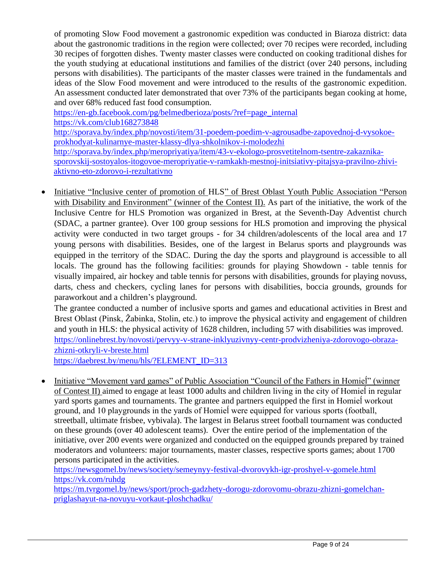of promoting Slow Food movement a gastronomic expedition was conducted in Biaroza district: data about the gastronomic traditions in the region were collected; over 70 recipes were recorded, including 30 recipes of forgotten dishes. Twenty master classes were conducted on cooking traditional dishes for the youth studying at educational institutions and families of the district (over 240 persons, including persons with disabilities). The participants of the master classes were trained in the fundamentals and ideas of the Slow Food movement and were introduced to the results of the gastronomic expedition. An assessment conducted later demonstrated that over 73% of the participants began cooking at home, and over 68% reduced fast food consumption.

[https://en-gb.facebook.com/pg/belmedberioza/posts/?ref=page\\_internal](https://en-gb.facebook.com/pg/belmedberioza/posts/?ref=page_internal) <https://vk.com/club168273848> [http://sporava.by/index.php/novosti/item/31-poedem-poedim-v-agrousadbe-zapovednoj-d-vysokoe](http://sporava.by/index.php/novosti/item/31-poedem-poedim-v-agrousadbe-zapovednoj-d-vysokoe-prokhodyat-kulinarnye-master-klassy-dlya-shkolnikov-i-molodezhi)[prokhodyat-kulinarnye-master-klassy-dlya-shkolnikov-i-molodezhi](http://sporava.by/index.php/novosti/item/31-poedem-poedim-v-agrousadbe-zapovednoj-d-vysokoe-prokhodyat-kulinarnye-master-klassy-dlya-shkolnikov-i-molodezhi) [http://sporava.by/index.php/meropriyatiya/item/43-v-ekologo-prosvetitelnom-tsentre-zakaznika](http://sporava.by/index.php/meropriyatiya/item/43-v-ekologo-prosvetitelnom-tsentre-zakaznika-sporovskij-sostoyalos-itogovoe-meropriyatie-v-ramkakh-mestnoj-initsiativy-pitajsya-pravilno-zhivi-aktivno-eto-zdorovo-i-rezultativno)[sporovskij-sostoyalos-itogovoe-meropriyatie-v-ramkakh-mestnoj-initsiativy-pitajsya-pravilno-zhivi](http://sporava.by/index.php/meropriyatiya/item/43-v-ekologo-prosvetitelnom-tsentre-zakaznika-sporovskij-sostoyalos-itogovoe-meropriyatie-v-ramkakh-mestnoj-initsiativy-pitajsya-pravilno-zhivi-aktivno-eto-zdorovo-i-rezultativno)[aktivno-eto-zdorovo-i-rezultativno](http://sporava.by/index.php/meropriyatiya/item/43-v-ekologo-prosvetitelnom-tsentre-zakaznika-sporovskij-sostoyalos-itogovoe-meropriyatie-v-ramkakh-mestnoj-initsiativy-pitajsya-pravilno-zhivi-aktivno-eto-zdorovo-i-rezultativno)

• Initiative "Inclusive center of promotion of HLS" of Brest Oblast Youth Public Association "Person with Disability and Environment" (winner of the Contest II). As part of the initiative, the work of the Inclusive Centre for HLS Promotion was organized in Brest, at the Seventh-Day Adventist church (SDAC, a partner grantee). Over 100 group sessions for HLS promotion and improving the physical activity were conducted in two target groups - for 34 children/adolescents of the local area and 17 young persons with disabilities. Besides, one of the largest in Belarus sports and playgrounds was equipped in the territory of the SDAC. During the day the sports and playground is accessible to all locals. The ground has the following facilities: grounds for playing Showdown - table tennis for visually impaired, air hockey and table tennis for persons with disabilities, grounds for playing novuss, darts, chess and checkers, cycling lanes for persons with disabilities, boccia grounds, grounds for paraworkout and a children's playground.

The grantee conducted a number of inclusive sports and games and educational activities in Brest and Brest Oblast (Pinsk, Žabinka, Stolin, etc.) to improve the physical activity and engagement of children and youth in HLS: the physical activity of 1628 children, including 57 with disabilities was improved. [https://onlinebrest.by/novosti/pervyy-v-strane-inklyuzivnyy-centr-prodvizheniya-zdorovogo-obraza](https://onlinebrest.by/novosti/pervyy-v-strane-inklyuzivnyy-centr-prodvizheniya-zdorovogo-obraza-zhizni-otkryli-v-breste.html)[zhizni-otkryli-v-breste.html](https://onlinebrest.by/novosti/pervyy-v-strane-inklyuzivnyy-centr-prodvizheniya-zdorovogo-obraza-zhizni-otkryli-v-breste.html)

[https://daebrest.by/menu/hls/?ELEMENT\\_ID=313](https://daebrest.by/menu/hls/?ELEMENT_ID=313)

• Initiative "Movement yard games" of Public Association "Council of the Fathers in Homiel" (winner of Contest II) aimed to engage at least 1000 adults and children living in the city of Homieĺ in regular yard sports games and tournaments. The grantee and partners equipped the first in Homieĺ workout ground, and 10 playgrounds in the yards of Homieĺ were equipped for various sports (football, streetball, ultimate frisbee, vybivala). The largest in Belarus street football tournament was conducted on these grounds (over 40 adolescent teams). Over the entire period of the implementation of the initiative, over 200 events were organized and conducted on the equipped grounds prepared by trained moderators and volunteers: major tournaments, master classes, respective sports games; about 1700 persons participated in the activities.

<https://newsgomel.by/news/society/semeynyy-festival-dvorovykh-igr-proshyel-v-gomele.html> <https://vk.com/ruhdg>

[https://m.tvrgomel.by/news/sport/proch-gadzhety-dorogu-zdorovomu-obrazu-zhizni-gomelchan](https://m.tvrgomel.by/news/sport/proch-gadzhety-dorogu-zdorovomu-obrazu-zhizni-gomelchan-priglashayut-na-novuyu-vorkaut-ploshchadku/)[priglashayut-na-novuyu-vorkaut-ploshchadku/](https://m.tvrgomel.by/news/sport/proch-gadzhety-dorogu-zdorovomu-obrazu-zhizni-gomelchan-priglashayut-na-novuyu-vorkaut-ploshchadku/)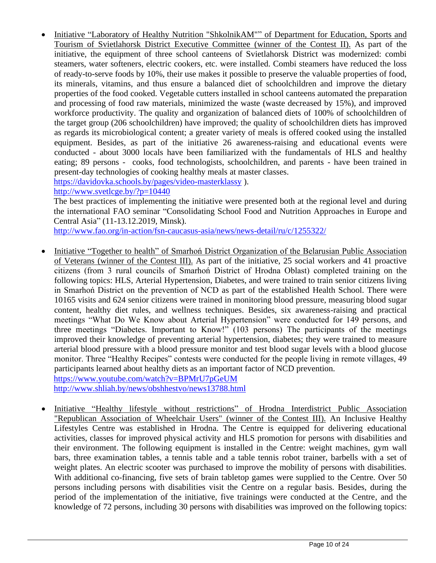• Initiative "Laboratory of Healthy Nutrition "ShkolnikAM"" of Department for Education, Sports and Tourism of Svietlahorsk District Executive Committee (winner of the Contest II). As part of the initiative, the equipment of three school canteens of Svietlahorsk District was modernized: combi steamers, water softeners, electric cookers, etc. were installed. Combi steamers have reduced the loss of ready-to-serve foods by 10%, their use makes it possible to preserve the valuable properties of food, its minerals, vitamins, and thus ensure a balanced diet of schoolchildren and improve the dietary properties of the food cooked. Vegetable cutters installed in school canteens automated the preparation and processing of food raw materials, minimized the waste (waste decreased by 15%), and improved workforce productivity. The quality and organization of balanced diets of 100% of schoolchildren of the target group (206 schoolchildren) have improved; the quality of schoolchildren diets has improved as regards its microbiological content; a greater variety of meals is offered cooked using the installed equipment. Besides, as part of the initiative 26 awareness-raising and educational events were conducted - about 3000 locals have been familiarized with the fundamentals of HLS and healthy eating; 89 persons - cooks, food technologists, schoolchildren, and parents - have been trained in present-day technologies of cooking healthy meals at master classes.

<https://davidovka.schools.by/pages/video-masterklassy> ).

<http://www.svetlcge.by/?p=10440>

The best practices of implementing the initiative were presented both at the regional level and during the international FAO seminar "Consolidating School Food and Nutrition Approaches in Europe and Central Asia" (11-13.12.2019, Minsk).

<http://www.fao.org/in-action/fsn-caucasus-asia/news/news-detail/ru/c/1255322/>

• Initiative "Together to health" of Smarhon District Organization of the Belarusian Public Association of Veterans (winner of the Contest III). As part of the initiative, 25 social workers and 41 proactive citizens (from 3 rural councils of Smarhoń District of Hrodna Oblast) completed training on the following topics: HLS, Arterial Hypertension, Diabetes, and were trained to train senior citizens living in Smarhoń District on the prevention of NCD as part of the established Health School. There were 10165 visits and 624 senior citizens were trained in monitoring blood pressure, measuring blood sugar content, healthy diet rules, and wellness techniques. Besides, six awareness-raising and practical meetings "What Do We Know about Arterial Hypertension" were conducted for 149 persons, and three meetings "Diabetes. Important to Know!" (103 persons) The participants of the meetings improved their knowledge of preventing arterial hypertension, diabetes; they were trained to measure arterial blood pressure with a blood pressure monitor and test blood sugar levels with a blood glucose monitor. Three "Healthy Recipes" contests were conducted for the people living in remote villages, 49 participants learned about healthy diets as an important factor of NCD prevention. <https://www.youtube.com/watch?v=BPMrU7pGeUM>

<http://www.shliah.by/news/obshhestvo/news13788.html>

• Initiative "Healthy lifestyle without restrictions" of Hrodna Interdistrict Public Association "Republican Association of Wheelchair Users" (winner of the Contest III). An Inclusive Healthy Lifestyles Centre was established in Hrodna. The Centre is equipped for delivering educational activities, classes for improved physical activity and HLS promotion for persons with disabilities and their environment. The following equipment is installed in the Centre: weight machines, gym wall bars, three examination tables, a tennis table and a table tennis robot trainer, barbells with a set of weight plates. An electric scooter was purchased to improve the mobility of persons with disabilities. With additional co-financing, five sets of brain tabletop games were supplied to the Centre. Over 50 persons including persons with disabilities visit the Centre on a regular basis. Besides, during the period of the implementation of the initiative, five trainings were conducted at the Centre, and the knowledge of 72 persons, including 30 persons with disabilities was improved on the following topics: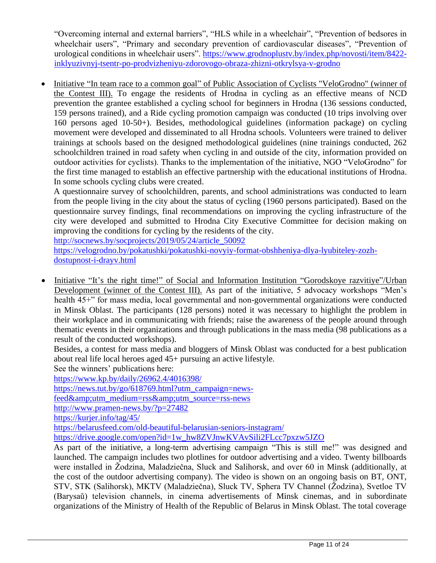"Overcoming internal and external barriers", "HLS while in a wheelchair", "Prevention of bedsores in wheelchair users", "Primary and secondary prevention of cardiovascular diseases", "Prevention of urological conditions in wheelchair users". [https://www.grodnoplustv.by/index.php/novosti/item/8422](https://www.grodnoplustv.by/index.php/novosti/item/8422-inklyuzivnyj-tsentr-po-prodvizheniyu-zdorovogo-obraza-zhizni-otkrylsya-v-grodno) [inklyuzivnyj-tsentr-po-prodvizheniyu-zdorovogo-obraza-zhizni-otkrylsya-v-grodno](https://www.grodnoplustv.by/index.php/novosti/item/8422-inklyuzivnyj-tsentr-po-prodvizheniyu-zdorovogo-obraza-zhizni-otkrylsya-v-grodno)

• Initiative "In team race to a common goal" of Public Association of Cyclists "VeloGrodno" (winner of the Contest III). To engage the residents of Hrodna in cycling as an effective means of NCD prevention the grantee established a cycling school for beginners in Hrodna (136 sessions conducted, 159 persons trained), and a Ride cycling promotion campaign was conducted (10 trips involving over 160 persons aged 10-50+). Besides, methodological guidelines (information package) on cycling movement were developed and disseminated to all Hrodna schools. Volunteers were trained to deliver trainings at schools based on the designed methodological guidelines (nine trainings conducted, 262 schoolchildren trained in road safety when cycling in and outside of the city, information provided on outdoor activities for cyclists). Thanks to the implementation of the initiative, NGO "VeloGrodno" for the first time managed to establish an effective partnership with the educational institutions of Hrodna. In some schools cycling clubs were created.

A questionnaire survey of schoolchildren, parents, and school administrations was conducted to learn from the people living in the city about the status of cycling (1960 persons participated). Based on the questionnaire survey findings, final recommendations on improving the cycling infrastructure of the city were developed and submitted to Hrodna City Executive Committee for decision making on improving the conditions for cycling by the residents of the city.

[http://socnews.by/socprojects/2019/05/24/article\\_50092](http://socnews.by/socprojects/2019/05/24/article_50092)

[https://velogrodno.by/pokatushki/pokatushki-novyiy-format-obshheniya-dlya-lyubiteley-zozh](https://velogrodno.by/pokatushki/pokatushki-novyiy-format-obshheniya-dlya-lyubiteley-zozh-dostupnost-i-drayv.html)[dostupnost-i-drayv.html](https://velogrodno.by/pokatushki/pokatushki-novyiy-format-obshheniya-dlya-lyubiteley-zozh-dostupnost-i-drayv.html)

• Initiative "It's the right time!" of Social and Information Institution "Gorodskoye razvitiye"/Urban Development (winner of the Contest III). As part of the initiative, 5 advocacy workshops "Men's health 45<sup>+</sup>" for mass media, local governmental and non-governmental organizations were conducted in Minsk Oblast. The participants (128 persons) noted it was necessary to highlight the problem in their workplace and in communicating with friends; raise the awareness of the people around through thematic events in their organizations and through publications in the mass media (98 publications as a result of the conducted workshops).

Besides, a contest for mass media and bloggers of Minsk Oblast was conducted for a best publication about real life local heroes aged 45+ pursuing an active lifestyle.

See the winners' publications here:

<https://www.kp.by/daily/26962.4/4016398/>

[https://news.tut.by/go/618769.html?utm\\_campaign=news-](https://news.tut.by/go/618769.html?utm_campaign=news-feed&utm_medium=rss&utm_source=rss-news)

 $feed \& amp; utm$  medium=rss $&utm$  source=rss-news

<http://www.pramen-news.by/?p=27482>

<https://kurjer.info/tag/45/>

<https://belarusfeed.com/old-beautiful-belarusian-seniors-instagram/>

[https://drive.google.com/open?id=1w\\_hw8ZVJnwKVAvSili2FLcc7pxzw5JZO](https://drive.google.com/open?id=1w_hw8ZVJnwKVAvSili2FLcc7pxzw5JZO)

As part of the initiative, a long-term advertising campaign "This is still me!" was designed and launched. The campaign includes two plotlines for outdoor advertising and a video. Twenty billboards were installed in Žodzina, Maladziečna, Sluck and Salihorsk, and over 60 in Minsk (additionally, at the cost of the outdoor advertising company). The video is shown on an ongoing basis on BT, ONT, STV, STK (Salihorsk), MKTV (Maladziečna), Sluck TV, Sphera TV Channel (Žodzina), Svetloe TV (Barysaŭ) television channels, in cinema advertisements of Minsk cinemas, and in subordinate organizations of the Ministry of Health of the Republic of Belarus in Minsk Oblast. The total coverage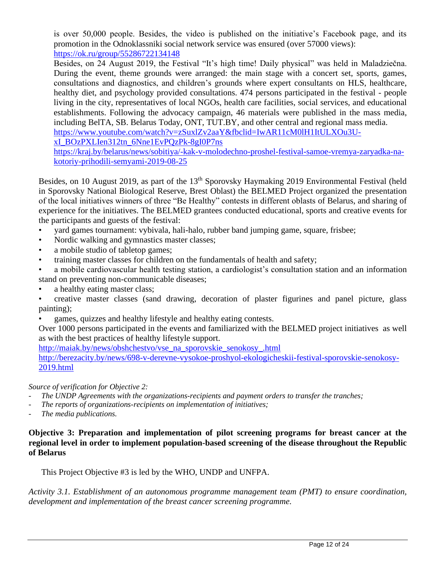is over 50,000 people. Besides, the video is published on the initiative's Facebook page, and its promotion in the Odnoklassniki social network service was ensured (over 57000 views): <https://ok.ru/group/55286722134148>

Besides, on 24 August 2019, the Festival "It's high time! Daily physical" was held in Maladziečna. During the event, theme grounds were arranged: the main stage with a concert set, sports, games, consultations and diagnostics, and children's grounds where expert consultants on HLS, healthcare, healthy diet, and psychology provided consultations. 474 persons participated in the festival - people living in the city, representatives of local NGOs, health care facilities, social services, and educational establishments. Following the advocacy campaign, 46 materials were published in the mass media, including BelTA, SB. Belarus Today, ONT, TUT.BY, and other central and regional mass media.

[https://www.youtube.com/watch?v=zSuxlZv2aaY&fbclid=IwAR11cM0lH1ItULXOu3U-](https://www.youtube.com/watch?v=zSuxlZv2aaY&fbclid=IwAR11cM0lH1ItULXOu3U-xI_BOzPXLIen312tn_6Nne1EvPQzPk-8gI0P7ns)

[xI\\_BOzPXLIen312tn\\_6Nne1EvPQzPk-8gI0P7ns](https://www.youtube.com/watch?v=zSuxlZv2aaY&fbclid=IwAR11cM0lH1ItULXOu3U-xI_BOzPXLIen312tn_6Nne1EvPQzPk-8gI0P7ns)

[https://kraj.by/belarus/news/sobitiya/-kak-v-molodechno-proshel-festival-samoe-vremya-zaryadka-na](https://kraj.by/belarus/news/sobitiya/-kak-v-molodechno-proshel-festival-samoe-vremya-zaryadka-na-kotoriy-prihodili-semyami-2019-08-25)[kotoriy-prihodili-semyami-2019-08-25](https://kraj.by/belarus/news/sobitiya/-kak-v-molodechno-proshel-festival-samoe-vremya-zaryadka-na-kotoriy-prihodili-semyami-2019-08-25)

Besides, on 10 August 2019, as part of the 13<sup>th</sup> Sporovsky Haymaking 2019 Environmental Festival (held in Sporovsky National Biological Reserve, Brest Oblast) the BELMED Project organized the presentation of the local initiatives winners of three "Be Healthy" contests in different oblasts of Belarus, and sharing of experience for the initiatives. The BELMED grantees conducted educational, sports and creative events for the participants and guests of the festival:

- yard games tournament: vybivala, hali-halo, rubber band jumping game, square, frisbee;
- Nordic walking and gymnastics master classes;
- a mobile studio of tabletop games;
- training master classes for children on the fundamentals of health and safety;
- a mobile cardiovascular health testing station, a cardiologist's consultation station and an information stand on preventing non-communicable diseases;
- a healthy eating master class;
- creative master classes (sand drawing, decoration of plaster figurines and panel picture, glass painting);
- games, quizzes and healthy lifestyle and healthy eating contests.

Over 1000 persons participated in the events and familiarized with the BELMED project initiatives as well as with the best practices of healthy lifestyle support.

[http://maiak.by/news/obshchestvo/vse\\_na\\_sporovskie\\_senokosy\\_.html](http://maiak.by/news/obshchestvo/vse_na_sporovskie_senokosy_.html)

[http://berezacity.by/news/698-v-derevne-vysokoe-proshyol-ekologicheskii-festival-sporovskie-senokosy-](http://berezacity.by/news/698-v-derevne-vysokoe-proshyol-ekologicheskii-festival-sporovskie-senokosy-2019.html)[2019.html](http://berezacity.by/news/698-v-derevne-vysokoe-proshyol-ekologicheskii-festival-sporovskie-senokosy-2019.html)

*Source of verification for Objective 2:*

- *- The UNDP Agreements with the organizations-recipients and payment orders to transfer the tranches;*
- *- The reports of organizations-recipients on implementation of initiatives;*
- *- The media publications.*

**Objective 3: Preparation and implementation of pilot screening programs for breast cancer at the regional level in order to implement population-based screening of the disease throughout the Republic of Belarus**

This Project Objective #3 is led by the WHO, UNDP and UNFPA.

*Activity 3.1. Establishment of an autonomous programme management team (PMT) to ensure coordination, development and implementation of the breast cancer screening programme.*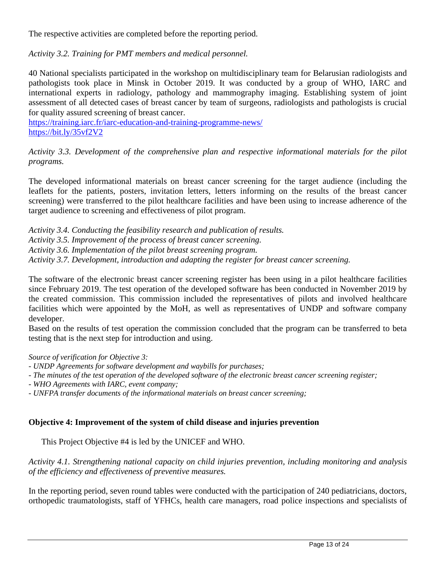The respective activities are completed before the reporting period.

*Activity 3.2. Training for PMT members and medical personnel.*

40 National specialists participated in the workshop on multidisciplinary team for Belarusian radiologists and pathologists took place in Minsk in October 2019. It was conducted by a group of WHO, IARC and international experts in radiology, pathology and mammography imaging. Establishing system of joint assessment of all detected cases of breast cancer by team of surgeons, radiologists and pathologists is crucial for quality assured screening of breast cancer.

<https://training.iarc.fr/iarc-education-and-training-programme-news/> <https://bit.ly/35vf2V2>

*Activity 3.3. Development of the comprehensive plan and respective informational materials for the pilot programs.*

The developed informational materials on breast cancer screening for the target audience (including the leaflets for the patients, posters, invitation letters, letters informing on the results of the breast cancer screening) were transferred to the pilot healthcare facilities and have been using to increase adherence of the target audience to screening and effectiveness of pilot program.

*Activity 3.4. Conducting the feasibility research and publication of results. Activity 3.5. Improvement of the process of breast cancer screening. Activity 3.6. Implementation of the pilot breast screening program. Activity 3.7. Development, introduction and adapting the register for breast cancer screening.*

The software of the electronic breast cancer screening register has been using in a pilot healthcare facilities since February 2019. The test operation of the developed software has been conducted in November 2019 by the created commission. This commission included the representatives of pilots and involved healthcare facilities which were appointed by the MoH, as well as representatives of UNDP and software company developer.

Based on the results of test operation the commission concluded that the program can be transferred to beta testing that is the next step for introduction and using.

*Source of verification for Objective 3:*

- *- UNDP Agreements for software development and waybills for purchases;*
- *- The minutes of the test operation of the developed software of the electronic breast cancer screening register;*
- *- WHO Agreements with IARC, event company;*
- *- UNFPA transfer documents of the informational materials on breast cancer screening;*

# **Objective 4: Improvement of the system of child disease and injuries prevention**

This Project Objective #4 is led by the UNICEF and WHO.

*Activity 4.1. Strengthening national capacity on child injuries prevention, including monitoring and analysis of the efficiency and effectiveness of preventive measures.*

In the reporting period, seven round tables were conducted with the participation of 240 pediatricians, doctors, orthopedic traumatologists, staff of YFHCs, health care managers, road police inspections and specialists of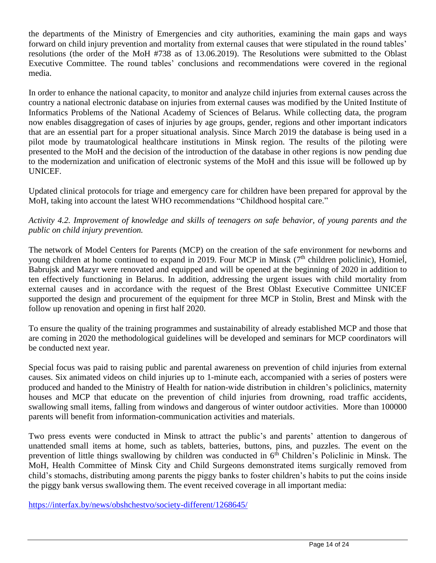the departments of the Ministry of Emergencies and city authorities, examining the main gaps and ways forward on child injury prevention and mortality from external causes that were stipulated in the round tables' resolutions (the order of the MoH #738 as of 13.06.2019). The Resolutions were submitted to the Oblast Executive Committee. The round tables' conclusions and recommendations were covered in the regional media.

In order to enhance the national capacity, to monitor and analyze child injuries from external causes across the country a national electronic database on injuries from external causes was modified by the United Institute of Informatics Problems of the National Academy of Sciences of Belarus. While collecting data, the program now enables disaggregation of cases of injuries by age groups, gender, regions and other important indicators that are an essential part for a proper situational analysis. Since March 2019 the database is being used in a pilot mode by traumatological healthcare institutions in Minsk region. The results of the piloting were presented to the MoH and the decision of the introduction of the database in other regions is now pending due to the modernization and unification of electronic systems of the MoH and this issue will be followed up by UNICEF.

Updated clinical protocols for triage and emergency care for children have been prepared for approval by the MoH, taking into account the latest WHO recommendations "Childhood hospital care."

*Activity 4.2. Improvement of knowledge and skills of teenagers on safe behavior, of young parents and the public on child injury prevention.*

The network of Model Centers for Parents (MCP) on the creation of the safe environment for newborns and young children at home continued to expand in 2019. Four MCP in Minsk  $(7<sup>th</sup>$  children policlinic), Homiel, Babrujsk and Mazyr were renovated and equipped and will be opened at the beginning of 2020 in addition to ten effectively functioning in Belarus. In addition, addressing the urgent issues with child mortality from external causes and in accordance with the request of the Brest Oblast Executive Committee UNICEF supported the design and procurement of the equipment for three MCP in Stolin, Brest and Minsk with the follow up renovation and opening in first half 2020.

To ensure the quality of the training programmes and sustainability of already established MCP and those that are coming in 2020 the methodological guidelines will be developed and seminars for MCP coordinators will be conducted next year.

Special focus was paid to raising public and parental awareness on prevention of child injuries from external causes. Six animated videos on child injuries up to 1-minute each, accompanied with a series of posters were produced and handed to the Ministry of Health for nation-wide distribution in children's policlinics, maternity houses and MCP that educate on the prevention of child injuries from drowning, road traffic accidents, swallowing small items, falling from windows and dangerous of winter outdoor activities. More than 100000 parents will benefit from information-communication activities and materials.

Two press events were conducted in Minsk to attract the public's and parents' attention to dangerous of unattended small items at home, such as tablets, batteries, buttons, pins, and puzzles. The event on the prevention of little things swallowing by children was conducted in 6<sup>th</sup> Children's Policlinic in Minsk. The MoH, Health Committee of Minsk City and Child Surgeons demonstrated items surgically removed from child's stomachs, distributing among parents the piggy banks to foster children's habits to put the coins inside the piggy bank versus swallowing them. The event received coverage in all important media:

<https://interfax.by/news/obshchestvo/society-different/1268645/>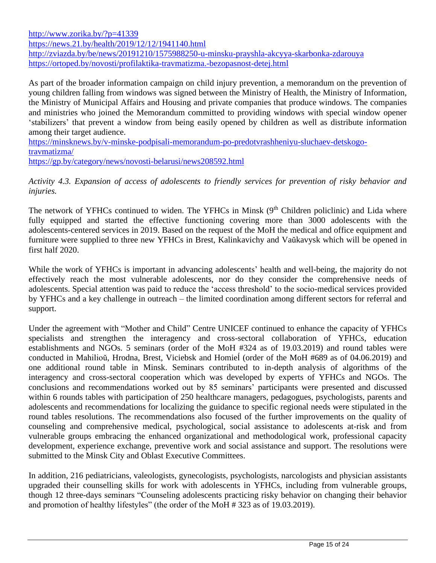<http://www.zorika.by/?p=41339> <https://news.21.by/health/2019/12/12/1941140.html> <http://zviazda.by/be/news/20191210/1575988250-u-minsku-prayshla-akcyya-skarbonka-zdarouya> <https://ortoped.by/novosti/profilaktika-travmatizma.-bezopasnost-detej.html>

As part of the broader information campaign on child injury prevention, a memorandum on the prevention of young children falling from windows was signed between the Ministry of Health, the Ministry of Information, the Ministry of Municipal Affairs and Housing and private companies that produce windows. The companies and ministries who joined the Memorandum committed to providing windows with special window opener 'stabilizers' that prevent a window from being easily opened by children as well as distribute information among their target audience.

[https://minsknews.by/v-minske-podpisali-memorandum-po-predotvrashheniyu-sluchaev-detskogo](https://minsknews.by/v-minske-podpisali-memorandum-po-predotvrashheniyu-sluchaev-detskogo-travmatizma/)[travmatizma/](https://minsknews.by/v-minske-podpisali-memorandum-po-predotvrashheniyu-sluchaev-detskogo-travmatizma/) <https://gp.by/category/news/novosti-belarusi/news208592.html>

*Activity 4.3. Expansion of access of adolescents to friendly services for prevention of risky behavior and injuries.*

The network of YFHCs continued to widen. The YFHCs in Minsk (9<sup>th</sup> Children policlinic) and Lida where fully equipped and started the effective functioning covering more than 3000 adolescents with the adolescents-centered services in 2019. Based on the request of the MoH the medical and office equipment and furniture were supplied to three new YFHCs in Brest, Kalinkavichy and Vaŭkavysk which will be opened in first half 2020.

While the work of YFHCs is important in advancing adolescents' health and well-being, the majority do not effectively reach the most vulnerable adolescents, nor do they consider the comprehensive needs of adolescents. Special attention was paid to reduce the 'access threshold' to the socio-medical services provided by YFHCs and a key challenge in outreach – the limited coordination among different sectors for referral and support.

Under the agreement with "Mother and Child" Centre UNICEF continued to enhance the capacity of YFHCs specialists and strengthen the interagency and cross-sectoral collaboration of YFHCs, education establishments and NGOs. 5 seminars (order of the MoH #324 as of 19.03.2019) and round tables were conducted in Mahilioŭ, Hrodna, Brest, Viciebsk and Homieĺ (order of the MoH #689 as of 04.06.2019) and one additional round table in Minsk. Seminars contributed to in-depth analysis of algorithms of the interagency and cross-sectoral cooperation which was developed by experts of YFHCs and NGOs. The conclusions and recommendations worked out by 85 seminars' participants were presented and discussed within 6 rounds tables with participation of 250 healthcare managers, pedagogues, psychologists, parents and adolescents and recommendations for localizing the guidance to specific regional needs were stipulated in the round tables resolutions. The recommendations also focused of the further improvements on the quality of counseling and comprehensive medical, psychological, social assistance to adolescents at-risk and from vulnerable groups embracing the enhanced organizational and methodological work, professional capacity development, experience exchange, preventive work and social assistance and support. The resolutions were submitted to the Minsk City and Oblast Executive Committees.

In addition, 216 pediatricians, valeologists, gynecologists, psychologists, narcologists and physician assistants upgraded their counselling skills for work with adolescents in YFHCs, including from vulnerable groups, though 12 three-days seminars "Counseling adolescents practicing risky behavior on changing their behavior and promotion of healthy lifestyles" (the order of the MoH # 323 as of 19.03.2019).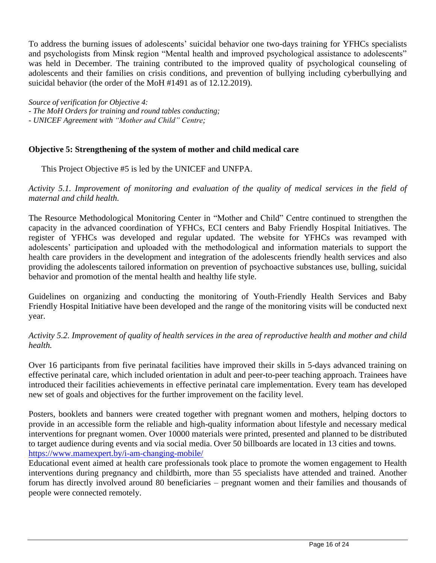To address the burning issues of adolescents' suicidal behavior one two-days training for YFHCs specialists and psychologists from Minsk region "Mental health and improved psychological assistance to adolescents" was held in December. The training contributed to the improved quality of psychological counseling of adolescents and their families on crisis conditions, and prevention of bullying including cyberbullying and suicidal behavior (the order of the MoH #1491 as of 12.12.2019).

*Source of verification for Objective 4:*

*- The MoH Orders for training and round tables conducting;*

*- UNICEF Agreement with "Mother and Child" Centre;*

#### **Objective 5: Strengthening of the system of mother and child medical care**

This Project Objective #5 is led by the UNICEF and UNFPA.

*Activity 5.1. Improvement of monitoring and evaluation of the quality of medical services in the field of maternal and child health.*

The Resource Methodological Monitoring Center in "Mother and Child" Centre continued to strengthen the capacity in the advanced coordination of YFHCs, ECI centers and Baby Friendly Hospital Initiatives. The register of YFHCs was developed and regular updated. The website for YFHCs was revamped with adolescents' participation and uploaded with the methodological and information materials to support the health care providers in the development and integration of the adolescents friendly health services and also providing the adolescents tailored information on prevention of psychoactive substances use, bulling, suicidal behavior and promotion of the mental health and healthy life style.

Guidelines on organizing and conducting the monitoring of Youth-Friendly Health Services and Baby Friendly Hospital Initiative have been developed and the range of the monitoring visits will be conducted next year.

*Activity 5.2. Improvement of quality of health services in the area of reproductive health and mother and child health.*

Over 16 participants from five perinatal facilities have improved their skills in 5-days advanced training on effective perinatal care, which included orientation in adult and peer-to-peer teaching approach. Trainees have introduced their facilities achievements in effective perinatal care implementation. Every team has developed new set of goals and objectives for the further improvement on the facility level.

Posters, booklets and banners were created together with pregnant women and mothers, helping doctors to provide in an accessible form the reliable and high-quality information about lifestyle and necessary medical interventions for pregnant women. Over 10000 materials were printed, presented and planned to be distributed to target audience during events and via social media. Over 50 billboards are located in 13 cities and towns. <https://www.mamexpert.by/i-am-changing-mobile/>

Educational event aimed at health care professionals took place to promote the women engagement to Health interventions during pregnancy and childbirth, more than 55 specialists have attended and trained. Another forum has directly involved around 80 beneficiaries – pregnant women and their families and thousands of people were connected remotely.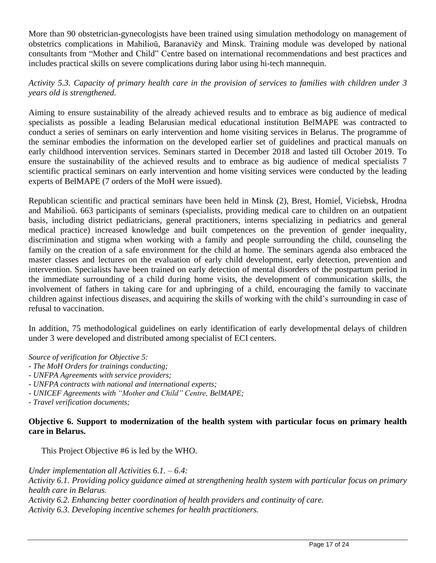More than 90 obstetrician-gynecologists have been trained using simulation methodology on management of obstetrics complications in Mahilioŭ, Baranavičy and Minsk. Training module was developed by national consultants from "Mother and Child" Centre based on international recommendations and best practices and includes practical skills on severe complications during labor using hi-tech mannequin.

*Activity 5.3. Capacity of primary health care in the provision of services to families with children under 3 years old is strengthened.*

Aiming to ensure sustainability of the already achieved results and to embrace as big audience of medical specialists as possible a leading Belarusian medical educational institution BelMAPE was contracted to conduct a series of seminars on early intervention and home visiting services in Belarus. The programme of the seminar embodies the information on the developed earlier set of guidelines and practical manuals on early childhood intervention services. Seminars started in December 2018 and lasted till October 2019. To ensure the sustainability of the achieved results and to embrace as big audience of medical specialists 7 scientific practical seminars on early intervention and home visiting services were conducted by the leading experts of BelMAPE (7 orders of the MoH were issued).

Republican scientific and practical seminars have been held in Minsk (2), Brest, Homieĺ, Viciebsk, Hrodna and Mahilioŭ. 663 participants of seminars (specialists, providing medical care to children on an outpatient basis, including district pediatricians, general practitioners, interns specializing in pediatrics and general medical practice) increased knowledge and built competences on the prevention of gender inequality, discrimination and stigma when working with a family and people surrounding the child, counseling the family on the creation of a safe environment for the child at home. The seminars agenda also embraced the master classes and lectures on the evaluation of early child development, early detection, prevention and intervention. Specialists have been trained on early detection of mental disorders of the postpartum period in the immediate surrounding of a child during home visits, the development of communication skills, the involvement of fathers in taking care for and upbringing of a child, encouraging the family to vaccinate children against infectious diseases, and acquiring the skills of working with the child's surrounding in case of refusal to vaccination.

In addition, 75 methodological guidelines on early identification of early developmental delays of children under 3 were developed and distributed among specialist of ECI centers.

*Source of verification for Objective 5:*

- *- The MoH Orders for trainings conducting;*
- *- UNFPA Agreements with service providers;*
- *- UNFPA contracts with national and international experts;*
- *- UNICEF Agreements with "Mother and Child" Centre, BelMAPE;*
- *- Travel verification documents;*

#### **Objective 6. Support to modernization of the health system with particular focus on primary health care in Belarus.**

This Project Objective #6 is led by the WHO.

*Under implementation all Activities 6.1. – 6.4: Activity 6.1. Providing policy guidance aimed at strengthening health system with particular focus on primary health care in Belarus. Activity 6.2. Enhancing better coordination of health providers and continuity of care. Activity 6.3. Developing incentive schemes for health practitioners.*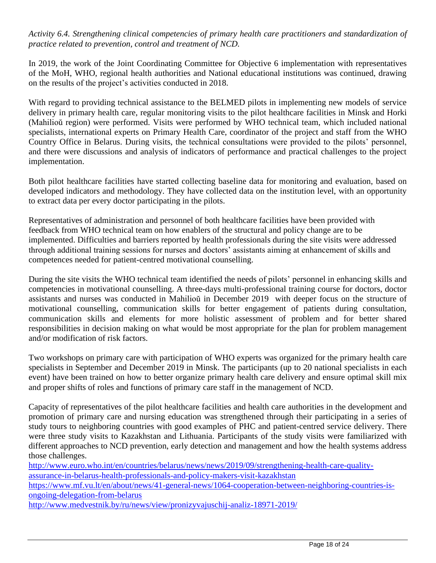# *Activity 6.4. Strengthening clinical competencies of primary health care practitioners and standardization of practice related to prevention, control and treatment of NCD.*

In 2019, the work of the Joint Coordinating Committee for Objective 6 implementation with representatives of the MoH, WHO, regional health authorities and National educational institutions was continued, drawing on the results of the project's activities conducted in 2018.

With regard to providing technical assistance to the BELMED pilots in implementing new models of service delivery in primary health care, regular monitoring visits to the pilot healthcare facilities in Minsk and Horki (Mahilioŭ region) were performed. Visits were performed by WHO technical team, which included national specialists, international experts on Primary Health Care, coordinator of the project and staff from the WHO Country Office in Belarus. During visits, the technical consultations were provided to the pilots' personnel, and there were discussions and analysis of indicators of performance and practical challenges to the project implementation.

Both pilot healthcare facilities have started collecting baseline data for monitoring and evaluation, based on developed indicators and methodology. They have collected data on the institution level, with an opportunity to extract data per every doctor participating in the pilots.

Representatives of administration and personnel of both healthcare facilities have been provided with feedback from WHO technical team on how enablers of the structural and policy change are to be implemented. Difficulties and barriers reported by health professionals during the site visits were addressed through additional training sessions for nurses and doctors' assistants aiming at enhancement of skills and competences needed for patient-centred motivational counselling.

During the site visits the WHO technical team identified the needs of pilots' personnel in enhancing skills and competencies in motivational counselling. A three-days multi-professional training course for doctors, doctor assistants and nurses was conducted in Mahilioŭ in December 2019 with deeper focus on the structure of motivational counselling, communication skills for better engagement of patients during consultation, communication skills and elements for more holistic assessment of problem and for better shared responsibilities in decision making on what would be most appropriate for the plan for problem management and/or modification of risk factors.

Two workshops on primary care with participation of WHO experts was organized for the primary health care specialists in September and December 2019 in Minsk. The participants (up to 20 national specialists in each event) have been trained on how to better organize primary health care delivery and ensure optimal skill mix and proper shifts of roles and functions of primary care staff in the management of NCD.

Capacity of representatives of the pilot healthcare facilities and health care authorities in the development and promotion of primary care and nursing education was strengthened through their participating in a series of study tours to neighboring countries with good examples of PHC and patient-centred service delivery. There were three study visits to Kazakhstan and Lithuania. Participants of the study visits were familiarized with different approaches to NCD prevention, early detection and management and how the health systems address those challenges.

[http://www.euro.who.int/en/countries/belarus/news/news/2019/09/strengthening-health-care-quality](http://www.euro.who.int/en/countries/belarus/news/news/2019/09/strengthening-health-care-quality-assurance-in-belarus-health-professionals-and-policy-makers-visit-kazakhstan)[assurance-in-belarus-health-professionals-and-policy-makers-visit-kazakhstan](http://www.euro.who.int/en/countries/belarus/news/news/2019/09/strengthening-health-care-quality-assurance-in-belarus-health-professionals-and-policy-makers-visit-kazakhstan)

[https://www.mf.vu.lt/en/about/news/41-general-news/1064-cooperation-between-neighboring-countries-is](https://www.mf.vu.lt/en/about/news/41-general-news/1064-cooperation-between-neighboring-countries-is-ongoing-delegation-from-belarus)[ongoing-delegation-from-belarus](https://www.mf.vu.lt/en/about/news/41-general-news/1064-cooperation-between-neighboring-countries-is-ongoing-delegation-from-belarus)

<http://www.medvestnik.by/ru/news/view/pronizyvajuschij-analiz-18971-2019/>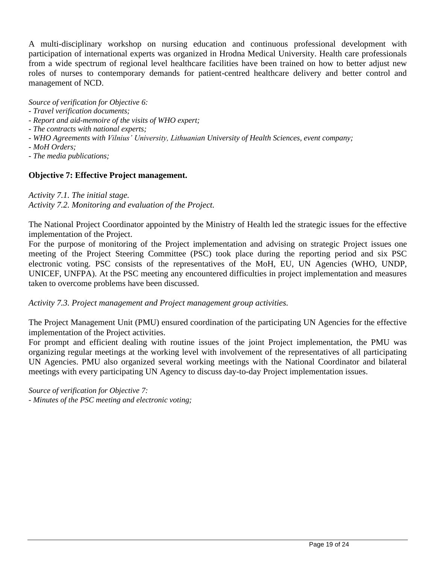A multi-disciplinary workshop on nursing education and continuous professional development with participation of international experts was organized in Hrodna Medical University. Health care professionals from a wide spectrum of regional level healthcare facilities have been trained on how to better adjust new roles of nurses to contemporary demands for patient-centred healthcare delivery and better control and management of NCD.

*Source of verification for Objective 6:*

- *- Travel verification documents;*
- *- Report and aid-memoire of the visits of WHO expert;*
- *- The contracts with national experts;*
- *- WHO Agreements with Vilnius' University, Lithuanian University of Health Sciences, event company;*
- *- MoH Orders;*
- *- The media publications;*

# **Objective 7: Effective Project management.**

*Activity 7.1. The initial stage. Activity 7.2. Monitoring and evaluation of the Project.*

The National Project Coordinator appointed by the Ministry of Health led the strategic issues for the effective implementation of the Project.

For the purpose of monitoring of the Project implementation and advising on strategic Project issues one meeting of the Project Steering Committee (PSC) took place during the reporting period and six PSC electronic voting. PSC consists of the representatives of the MoH, EU, UN Agencies (WHO, UNDP, UNICEF, UNFPA). At the PSC meeting any encountered difficulties in project implementation and measures taken to overcome problems have been discussed.

*Activity 7.3. Project management and Project management group activities.*

The Project Management Unit (PMU) ensured coordination of the participating UN Agencies for the effective implementation of the Project activities.

For prompt and efficient dealing with routine issues of the joint Project implementation, the PMU was organizing regular meetings at the working level with involvement of the representatives of all participating UN Agencies. PMU also organized several working meetings with the National Coordinator and bilateral meetings with every participating UN Agency to discuss day-to-day Project implementation issues.

*Source of verification for Objective 7: - Minutes of the PSC meeting and electronic voting;*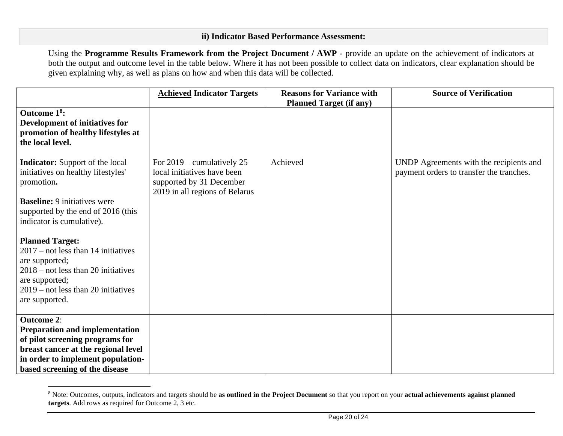#### **ii) Indicator Based Performance Assessment:**

Using the **Programme Results Framework from the Project Document / AWP** - provide an update on the achievement of indicators at both the output and outcome level in the table below. Where it has not been possible to collect data on indicators, clear explanation should be given explaining why, as well as plans on how and when this data will be collected.

|                                                                                                                                                                                                             | <b>Achieved Indicator Targets</b>                                                                                         | <b>Reasons for Variance with</b> | <b>Source of Verification</b>                                                       |
|-------------------------------------------------------------------------------------------------------------------------------------------------------------------------------------------------------------|---------------------------------------------------------------------------------------------------------------------------|----------------------------------|-------------------------------------------------------------------------------------|
|                                                                                                                                                                                                             |                                                                                                                           | <b>Planned Target (if any)</b>   |                                                                                     |
| Outcome 1 <sup>8</sup> :<br><b>Development of initiatives for</b><br>promotion of healthy lifestyles at<br>the local level.                                                                                 |                                                                                                                           |                                  |                                                                                     |
| <b>Indicator:</b> Support of the local<br>initiatives on healthy lifestyles'<br>promotion.                                                                                                                  | For $2019$ – cumulatively 25<br>local initiatives have been<br>supported by 31 December<br>2019 in all regions of Belarus | Achieved                         | UNDP Agreements with the recipients and<br>payment orders to transfer the tranches. |
| <b>Baseline:</b> 9 initiatives were<br>supported by the end of 2016 (this<br>indicator is cumulative).                                                                                                      |                                                                                                                           |                                  |                                                                                     |
| <b>Planned Target:</b><br>$2017$ – not less than 14 initiatives<br>are supported;<br>$2018$ – not less than 20 initiatives<br>are supported;<br>$2019$ – not less than 20 initiatives<br>are supported.     |                                                                                                                           |                                  |                                                                                     |
| <b>Outcome 2:</b><br><b>Preparation and implementation</b><br>of pilot screening programs for<br>breast cancer at the regional level<br>in order to implement population-<br>based screening of the disease |                                                                                                                           |                                  |                                                                                     |

<sup>8</sup> Note: Outcomes, outputs, indicators and targets should be **as outlined in the Project Document** so that you report on your **actual achievements against planned targets**. Add rows as required for Outcome 2, 3 etc.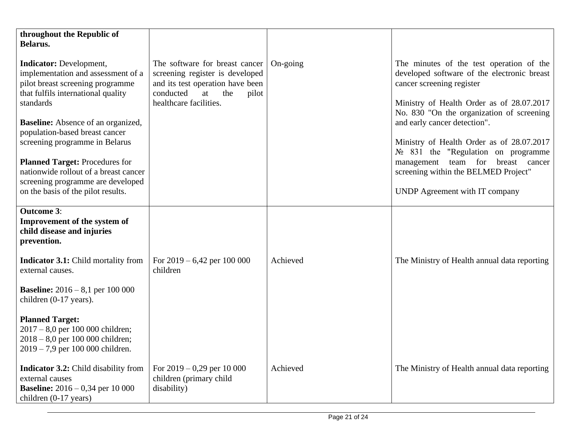| throughout the Republic of<br>Belarus.                                                                                                                                                                                                                                                                                                                                                                                                    |                                                                                                                                                                    |          |                                                                                                                                                                                                                                                                                                                                                                                                                                                             |
|-------------------------------------------------------------------------------------------------------------------------------------------------------------------------------------------------------------------------------------------------------------------------------------------------------------------------------------------------------------------------------------------------------------------------------------------|--------------------------------------------------------------------------------------------------------------------------------------------------------------------|----------|-------------------------------------------------------------------------------------------------------------------------------------------------------------------------------------------------------------------------------------------------------------------------------------------------------------------------------------------------------------------------------------------------------------------------------------------------------------|
| <b>Indicator:</b> Development,<br>implementation and assessment of a<br>pilot breast screening programme<br>that fulfils international quality<br>standards<br><b>Baseline:</b> Absence of an organized,<br>population-based breast cancer<br>screening programme in Belarus<br><b>Planned Target: Procedures for</b><br>nationwide rollout of a breast cancer<br>screening programme are developed<br>on the basis of the pilot results. | The software for breast cancer<br>screening register is developed<br>and its test operation have been<br>conducted<br>the<br>at<br>pilot<br>healthcare facilities. | On-going | The minutes of the test operation of the<br>developed software of the electronic breast<br>cancer screening register<br>Ministry of Health Order as of 28.07.2017<br>No. 830 "On the organization of screening<br>and early cancer detection".<br>Ministry of Health Order as of 28.07.2017<br>$N_2$ 831 the "Regulation on programme"<br>breast cancer<br>team for<br>management<br>screening within the BELMED Project"<br>UNDP Agreement with IT company |
| <b>Outcome 3:</b><br>Improvement of the system of<br>child disease and injuries<br>prevention.                                                                                                                                                                                                                                                                                                                                            |                                                                                                                                                                    |          |                                                                                                                                                                                                                                                                                                                                                                                                                                                             |
| <b>Indicator 3.1:</b> Child mortality from<br>external causes.                                                                                                                                                                                                                                                                                                                                                                            | For $2019 - 6,42$ per 100 000<br>children                                                                                                                          | Achieved | The Ministry of Health annual data reporting                                                                                                                                                                                                                                                                                                                                                                                                                |
| <b>Baseline:</b> $2016 - 8,1$ per 100 000<br>children (0-17 years).                                                                                                                                                                                                                                                                                                                                                                       |                                                                                                                                                                    |          |                                                                                                                                                                                                                                                                                                                                                                                                                                                             |
| <b>Planned Target:</b><br>$2017 - 8.0$ per 100 000 children;<br>$2018 - 8.0$ per 100 000 children;<br>$2019 - 7.9$ per 100 000 children.                                                                                                                                                                                                                                                                                                  |                                                                                                                                                                    |          |                                                                                                                                                                                                                                                                                                                                                                                                                                                             |
| <b>Indicator 3.2:</b> Child disability from<br>external causes<br><b>Baseline:</b> $2016 - 0.34$ per 10 000<br>children (0-17 years)                                                                                                                                                                                                                                                                                                      | For $2019 - 0,29$ per 10 000<br>children (primary child<br>disability)                                                                                             | Achieved | The Ministry of Health annual data reporting                                                                                                                                                                                                                                                                                                                                                                                                                |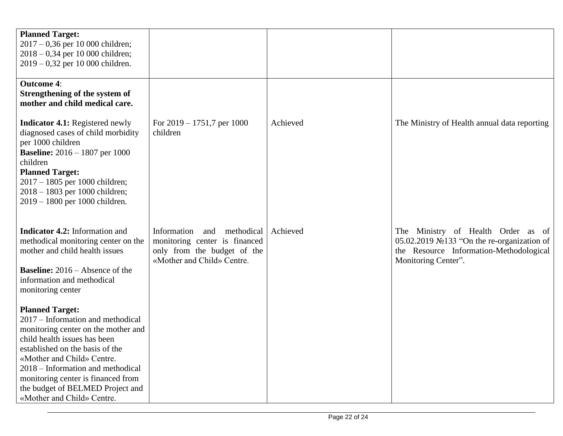| <b>Planned Target:</b><br>$2017 - 0,36$ per 10 000 children;<br>$2018 - 0,34$ per 10 000 children;<br>$2019 - 0,32$ per 10 000 children.                                                                                                                                                                                                         |                                                                                                                                |          |                                                                                                                                                            |
|--------------------------------------------------------------------------------------------------------------------------------------------------------------------------------------------------------------------------------------------------------------------------------------------------------------------------------------------------|--------------------------------------------------------------------------------------------------------------------------------|----------|------------------------------------------------------------------------------------------------------------------------------------------------------------|
| <b>Outcome 4:</b><br>Strengthening of the system of<br>mother and child medical care.                                                                                                                                                                                                                                                            |                                                                                                                                |          |                                                                                                                                                            |
| <b>Indicator 4.1:</b> Registered newly<br>diagnosed cases of child morbidity<br>per 1000 children<br><b>Baseline:</b> $2016 - 1807$ per 1000<br>children<br><b>Planned Target:</b><br>2017 - 1805 per 1000 children;<br>2018 - 1803 per 1000 children;<br>2019 - 1800 per 1000 children.                                                         | For $2019 - 1751,7$ per 1000<br>children                                                                                       | Achieved | The Ministry of Health annual data reporting                                                                                                               |
| <b>Indicator 4.2:</b> Information and<br>methodical monitoring center on the<br>mother and child health issues<br><b>Baseline:</b> $2016 -$ Absence of the<br>information and methodical<br>monitoring center                                                                                                                                    | Information<br>methodical<br>and<br>monitoring center is financed<br>only from the budget of the<br>«Mother and Child» Centre. | Achieved | The Ministry of Health Order<br>- of<br>as<br>05.02.2019 №133 "On the re-organization of<br>the Resource Information-Methodological<br>Monitoring Center". |
| <b>Planned Target:</b><br>2017 – Information and methodical<br>monitoring center on the mother and<br>child health issues has been<br>established on the basis of the<br>«Mother and Child» Centre.<br>2018 – Information and methodical<br>monitoring center is financed from<br>the budget of BELMED Project and<br>«Mother and Child» Centre. |                                                                                                                                |          |                                                                                                                                                            |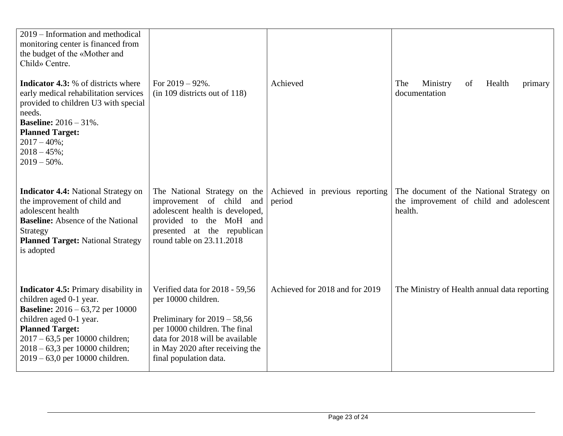| 2019 – Information and methodical<br>monitoring center is financed from<br>the budget of the «Mother and<br>Child» Centre.                                                                                                                                                              |                                                                                                                                                                                                                          |                                          |                                                                                                |
|-----------------------------------------------------------------------------------------------------------------------------------------------------------------------------------------------------------------------------------------------------------------------------------------|--------------------------------------------------------------------------------------------------------------------------------------------------------------------------------------------------------------------------|------------------------------------------|------------------------------------------------------------------------------------------------|
| <b>Indicator 4.3:</b> % of districts where<br>early medical rehabilitation services<br>provided to children U3 with special<br>needs.<br><b>Baseline:</b> 2016 - 31%.<br><b>Planned Target:</b><br>$2017 - 40\%$ ;<br>$2018 - 45\%;$<br>$2019 - 50\%$ .                                 | For $2019 - 92\%$ .<br>$(in 109$ districts out of 118)                                                                                                                                                                   | Achieved                                 | The<br>Ministry<br>Health<br>of<br>primary<br>documentation                                    |
| <b>Indicator 4.4:</b> National Strategy on<br>the improvement of child and<br>adolescent health<br><b>Baseline:</b> Absence of the National<br>Strategy<br><b>Planned Target: National Strategy</b><br>is adopted                                                                       | The National Strategy on the<br>improvement of child and<br>adolescent health is developed,<br>provided to the MoH and<br>presented at the republican<br>round table on 23.11.2018                                       | Achieved in previous reporting<br>period | The document of the National Strategy on<br>the improvement of child and adolescent<br>health. |
| <b>Indicator 4.5:</b> Primary disability in<br>children aged 0-1 year.<br><b>Baseline:</b> $2016 - 63,72$ per 10000<br>children aged 0-1 year.<br><b>Planned Target:</b><br>$2017 - 63,5$ per 10000 children;<br>$2018 - 63,3$ per 10000 children;<br>$2019 - 63,0$ per 10000 children. | Verified data for 2018 - 59,56<br>per 10000 children.<br>Preliminary for $2019 - 58,56$<br>per 10000 children. The final<br>data for 2018 will be available<br>in May 2020 after receiving the<br>final population data. | Achieved for 2018 and for 2019           | The Ministry of Health annual data reporting                                                   |